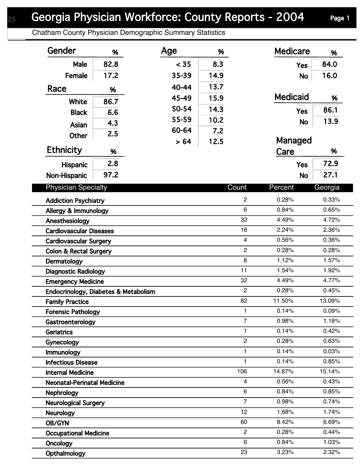## Georgia Physician Workforce: County Reports - 2004 Page 1

Chatham County Physician Demographic Summary Statistics

| Gender                               | %    | Age   | %    |                                  | <b>Medicare</b> | %              |
|--------------------------------------|------|-------|------|----------------------------------|-----------------|----------------|
| Male                                 | 82.8 | < 35  | 8.3  |                                  | <b>Yes</b>      | 84.0           |
| Female                               | 17.2 | 35-39 | 14.9 |                                  | <b>No</b>       | 16.0           |
| Race                                 | %    | 40-44 | 13.7 |                                  |                 |                |
| White                                | 86.7 | 45-49 | 15.9 |                                  | <b>Medicaid</b> | %              |
|                                      |      | 50-54 | 14.3 |                                  | <b>Yes</b>      | 86.1           |
| <b>Black</b>                         | 6.6  | 55-59 | 10.2 |                                  | <b>No</b>       | 13.9           |
| Asian                                | 4.3  | 60-64 | 7.2  |                                  |                 |                |
| <b>Other</b>                         | 2.5  | > 64  | 12.5 |                                  | Managed         |                |
| <b>Ethnicity</b>                     | %    |       |      |                                  | Care            | %              |
| Hispanic                             | 2.8  |       |      |                                  | <b>Yes</b>      | 72.9           |
| Non-Hispanic                         | 97.2 |       |      |                                  | <b>No</b>       | 27.1           |
|                                      |      |       |      |                                  |                 |                |
| <b>Physician Specialty</b>           |      |       |      | Count                            | Percent         | Georgia        |
| <b>Addiction Psychiatry</b>          |      |       |      | $\overline{c}$                   | 0.28%           | 0.33%          |
| Allergy & Immunology                 |      |       |      | 6                                | 0.84%           | 0.65%          |
| Anesthesiology                       |      |       |      | 32                               | 4.49%           | 4.72%          |
| <b>Cardiovascular Diseases</b>       |      |       |      | 16                               | 2.24%           | 2.36%          |
| <b>Cardiovascular Surgery</b>        |      |       |      | $\overline{4}$<br>$\overline{2}$ | 0.56%           | 0.36%          |
| <b>Colon &amp; Rectal Surgery</b>    |      |       |      | 8                                | 0.28%<br>1.12%  | 0.28%<br>1.57% |
| Dermatology                          |      |       |      | 11                               | 1.54%           | 1.92%          |
| <b>Diagnostic Radiology</b>          |      |       |      | 32                               | 4.49%           | 4.77%          |
| <b>Emergency Medicine</b>            |      |       |      | $\overline{2}$                   | 0.28%           | 0.45%          |
| Endocrinology, Diabetes & Metabolism |      |       |      | 82                               | 11.50%          | 13.09%         |
| <b>Family Practice</b>               |      |       |      | 1                                | 0.14%           | 0.09%          |
| <b>Forensic Pathology</b>            |      |       |      | $\overline{7}$                   | 0.98%           | 1.18%          |
| Gastroenterology<br>Geriatrics       |      |       |      | 1                                | 0.14%           | 0.42%          |
| Gynecology                           |      |       |      | $\overline{2}$                   | 0.28%           | 0.63%          |
| Immunology                           |      |       |      | 1                                | 0.14%           | 0.03%          |
| <b>Infectious Disease</b>            |      |       |      | 1                                | 0.14%           | 0.85%          |
| <b>Internal Medicine</b>             |      |       |      | 106                              | 14.87%          | 15.14%         |
| <b>Neonatal-Perinatal Medicine</b>   |      |       |      | $\overline{4}$                   | 0.56%           | 0.43%          |
| <b>Nephrology</b>                    |      |       |      | 6                                | 0.84%           | 0.85%          |
| <b>Neurological Surgery</b>          |      |       |      | $\overline{7}$                   | 0.98%           | 0.74%          |
| <b>Neurology</b>                     |      |       |      | 12                               | 1.68%           | 1.74%          |
| OB/GYN                               |      |       |      | 60                               | 8.42%           | 6.69%          |
| <b>Occupational Medicine</b>         |      |       |      | $\overline{2}$                   | 0.28%           | 0.44%          |
| Oncology                             |      |       |      | 6                                | 0.84%           | 1.03%          |
| Opthalmology                         |      |       |      | 23                               | 3.23%           | 2.32%          |